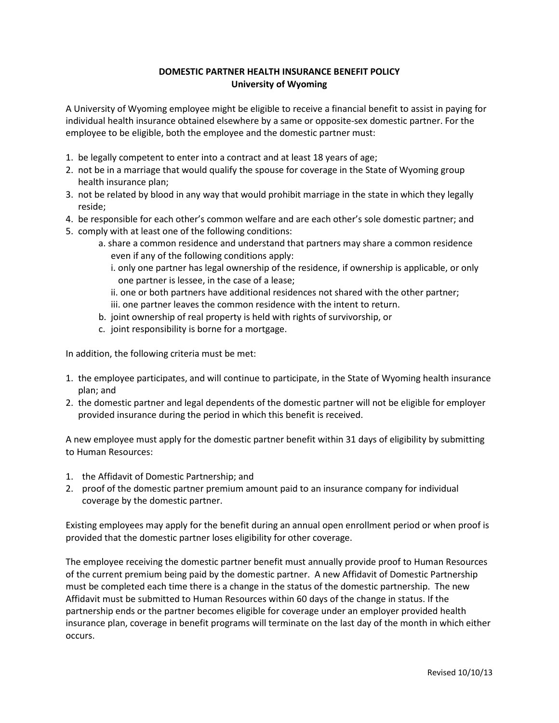## **DOMESTIC PARTNER HEALTH INSURANCE BENEFIT POLICY University of Wyoming**

A University of Wyoming employee might be eligible to receive a financial benefit to assist in paying for individual health insurance obtained elsewhere by a same or opposite-sex domestic partner. For the employee to be eligible, both the employee and the domestic partner must:

- 1. be legally competent to enter into a contract and at least 18 years of age;
- 2. not be in a marriage that would qualify the spouse for coverage in the State of Wyoming group health insurance plan;
- 3. not be related by blood in any way that would prohibit marriage in the state in which they legally reside;
- 4. be responsible for each other's common welfare and are each other's sole domestic partner; and
- 5. comply with at least one of the following conditions:
	- a. share a common residence and understand that partners may share a common residence even if any of the following conditions apply:
		- i. only one partner has legal ownership of the residence, if ownership is applicable, or only one partner is lessee, in the case of a lease;
		- ii. one or both partners have additional residences not shared with the other partner; iii. one partner leaves the common residence with the intent to return.
	- b. joint ownership of real property is held with rights of survivorship, or
	- c. joint responsibility is borne for a mortgage.

In addition, the following criteria must be met:

- 1. the employee participates, and will continue to participate, in the State of Wyoming health insurance plan; and
- 2. the domestic partner and legal dependents of the domestic partner will not be eligible for employer provided insurance during the period in which this benefit is received.

A new employee must apply for the domestic partner benefit within 31 days of eligibility by submitting to Human Resources:

- 1. the Affidavit of Domestic Partnership; and
- 2. proof of the domestic partner premium amount paid to an insurance company for individual coverage by the domestic partner.

Existing employees may apply for the benefit during an annual open enrollment period or when proof is provided that the domestic partner loses eligibility for other coverage.

The employee receiving the domestic partner benefit must annually provide proof to Human Resources of the current premium being paid by the domestic partner. A new Affidavit of Domestic Partnership must be completed each time there is a change in the status of the domestic partnership. The new Affidavit must be submitted to Human Resources within 60 days of the change in status. If the partnership ends or the partner becomes eligible for coverage under an employer provided health insurance plan, coverage in benefit programs will terminate on the last day of the month in which either occurs.